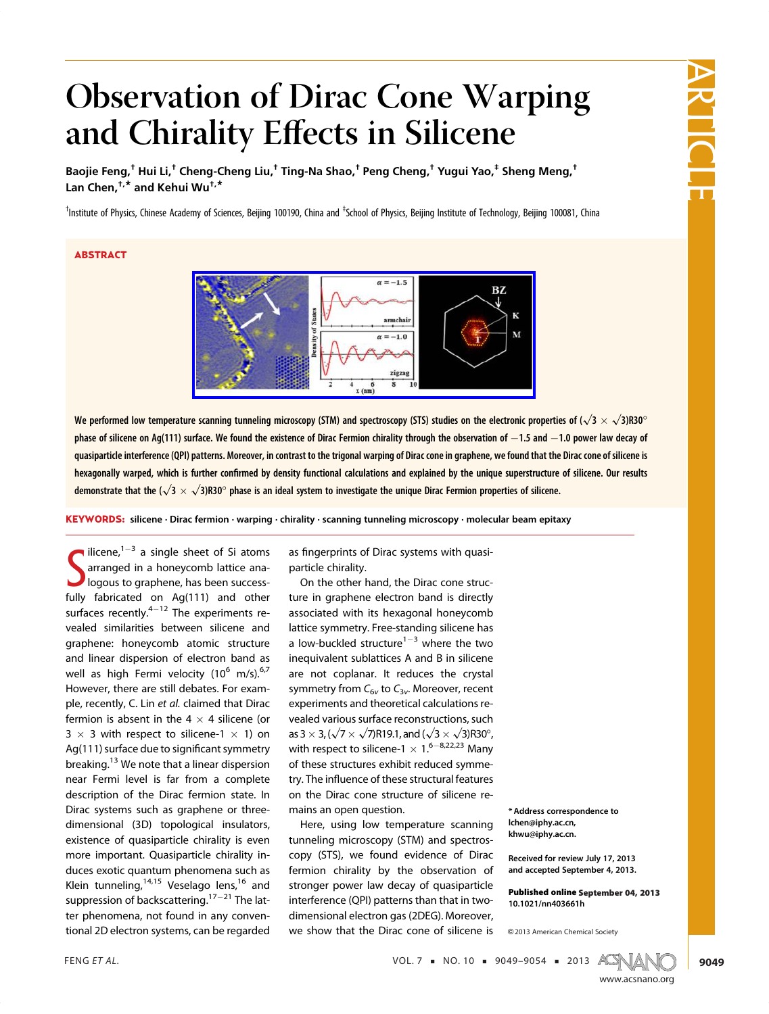# ARTICLE

## Observation of Dirac Cone Warping and Chirality Effects in Silicene

Baojie Feng,<sup>†</sup> Hui Li,<sup>†</sup> Cheng-Cheng Liu,<sup>†</sup> Ting-Na Shao,<sup>†</sup> Peng Cheng,<sup>†</sup> Yugui Yao,<sup>‡</sup> Sheng Meng,<sup>†</sup> Lan Chen, $^{t,*}$  and Kehui Wu $^{t,*}$ 

<sup>†</sup>Institute of Physics, Chinese Academy of Sciences, Beijing 100190, China and <sup>‡</sup>School of Physics, Beijing Institute of Technology, Beijing 100081, China

### ABSTRACT



We performed low temperature scanning tunneling microscopy (STM) and spectroscopy (STS) studies on the electronic properties of ( $\sqrt{3} \times \sqrt{3}$ )R30° phase of silicene on Ag(111) surface. We found the existence of Dirac Fermion chirality through the observation of  $-1.5$  and  $-1.0$  power law decay of quasiparticle interference (QPI) patterns. Moreover, in contrast to the trigonal warping of Dirac cone in graphene, we found that the Dirac cone of silicene is hexagonally warped, which is further confirmed by density functional calculations and explained by the unique superstructure of silicene. Our results demonstrate that the ( $\sqrt{3} \times \sqrt{3}$ )R30° phase is an ideal system to investigate the unique Dirac Fermion properties of silicene.

KEYWORDS: silicene · Dirac fermion · warping · chirality · scanning tunneling microscopy · molecular beam epitaxy

Suicene, a single sheet of SI atoms<br>arranged in a honeycomb lattice ana-<br>logous to graphene, has been success-<br>fully fabricated on Ag(111) and other ilicene,  $1-3$  a single sheet of Si atoms arranged in a honeycomb lattice analogous to graphene, has been successsurfaces recently. $4-12$  The experiments revealed similarities between silicene and graphene: honeycomb atomic structure and linear dispersion of electron band as well as high Fermi velocity  $(10^6 \text{ m/s})$ .<sup>6,7</sup> However, there are still debates. For example, recently, C. Lin et al. claimed that Dirac fermion is absent in the  $4 \times 4$  silicene (or  $3 \times 3$  with respect to silicene-1  $\times$  1) on Ag(111) surface due to significant symmetry breaking.<sup>13</sup> We note that a linear dispersion near Fermi level is far from a complete description of the Dirac fermion state. In Dirac systems such as graphene or threedimensional (3D) topological insulators, existence of quasiparticle chirality is even more important. Quasiparticle chirality induces exotic quantum phenomena such as Klein tunneling,  $14,15$  Veselago lens,  $16$  and suppression of backscattering.<sup>17-21</sup> The latter phenomena, not found in any conventional 2D electron systems, can be regarded

as fingerprints of Dirac systems with quasiparticle chirality.

On the other hand, the Dirac cone structure in graphene electron band is directly associated with its hexagonal honeycomb lattice symmetry. Free-standing silicene has a low-buckled structure<sup>1-3</sup> where the two inequivalent sublattices A and B in silicene are not coplanar. It reduces the crystal symmetry from  $C_{6v}$  to  $C_{3v}$ . Moreover, recent experiments and theoretical calculations revealed various surface reconstructions, such as 3  $\times$  3, ( $\sqrt{7}$   $\times$   $\sqrt{7}$ )R19.1, and ( $\sqrt{3}$   $\times$   $\sqrt{3}$ )R30 $^{\circ}$ , with respect to silicene-1  $\times$  1.<sup>6–8,22,23</sup> Many of these structures exhibit reduced symmetry. The influence of these structural features on the Dirac cone structure of silicene remains an open question.

Here, using low temperature scanning tunneling microscopy (STM) and spectroscopy (STS), we found evidence of Dirac fermion chirality by the observation of stronger power law decay of quasiparticle interference (QPI) patterns than that in twodimensional electron gas (2DEG). Moreover, we show that the Dirac cone of silicene is

\* Address correspondence to lchen@iphy.ac.cn, khwu@iphy.ac.cn.

Received for review July 17, 2013 and accepted September 4, 2013.

Published online September 04, 2013 10.1021/nn403661h

<sup>C</sup> 2013 American Chemical Society

FENG ET AL.  $VOL. 7 = NO. 10 = 9049 - 9054 = 2013$   $AGN_A$ 

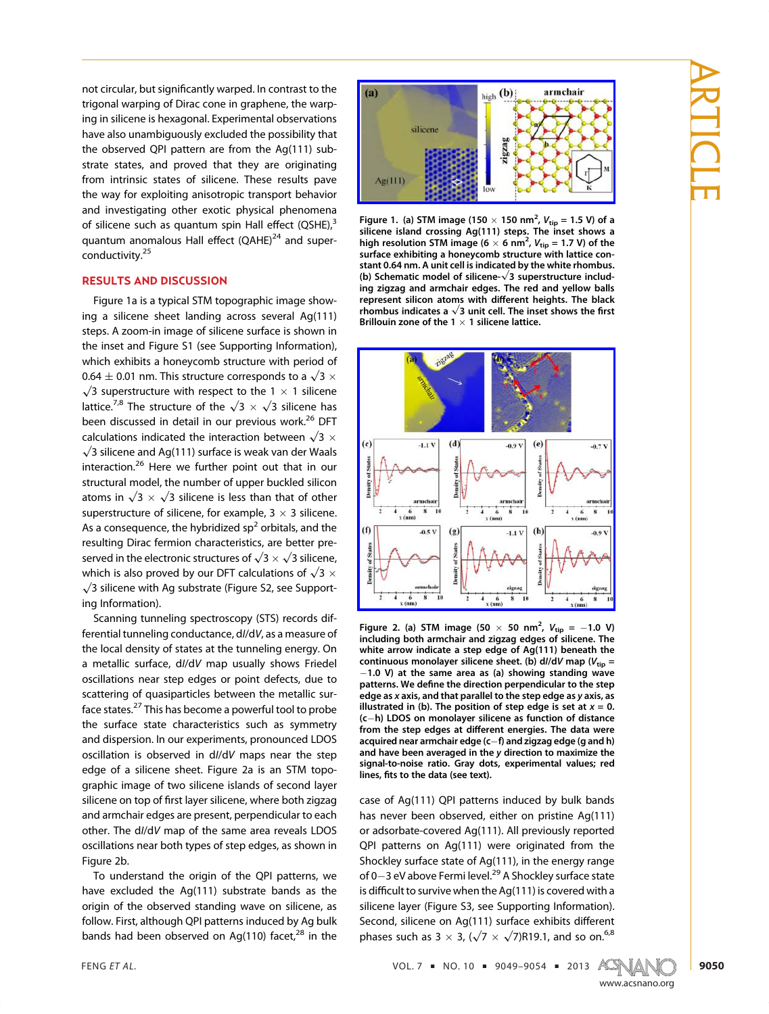not circular, but significantly warped. In contrast to the trigonal warping of Dirac cone in graphene, the warping in silicene is hexagonal. Experimental observations have also unambiguously excluded the possibility that the observed QPI pattern are from the Ag(111) substrate states, and proved that they are originating from intrinsic states of silicene. These results pave the way for exploiting anisotropic transport behavior and investigating other exotic physical phenomena of silicene such as quantum spin Hall effect  $(QSHE)<sup>3</sup>$ quantum anomalous Hall effect (QAHE)<sup>24</sup> and superconductivity.<sup>25</sup>

#### RESULTS AND DISCUSSION

Figure 1a is a typical STM topographic image showing a silicene sheet landing across several Ag(111) steps. A zoom-in image of silicene surface is shown in the inset and Figure S1 (see Supporting Information), which exhibits a honeycomb structure with period of 0.64  $\pm$  0.01 nm. This structure corresponds to a  $\sqrt{3} \times \sqrt{3}$  superstructure with respect to the 1  $\times$  1 silicene lattice.<sup>7,8</sup> The structure of the  $\sqrt{3} \times \sqrt{3}$  silicene has been discussed in detail in our previous work.<sup>26</sup> DFT calculations indicated the interaction between  $\sqrt{3} \times \sqrt{3}$  silicene and Ag(111) surface is weak van der Waals interaction.<sup>26</sup> Here we further point out that in our structural model, the number of upper buckled silicon atoms in  $\sqrt{3} \times \sqrt{3}$  silicene is less than that of other superstructure of silicene, for example,  $3 \times 3$  silicene. As a consequence, the hybridized sp<sup>2</sup> orbitals, and the resulting Dirac fermion characteristics, are better preserved in the electronic structures of  $\sqrt{3} \times \sqrt{3}$  silicene, which is also proved by our DFT calculations of  $\sqrt{3} \times \sqrt{3}$  silicene with Ag substrate (Figure S2, see Supporting Information).

Scanning tunneling spectroscopy (STS) records differential tunneling conductance, dI/dV, as a measure of the local density of states at the tunneling energy. On a metallic surface, dI/dV map usually shows Friedel oscillations near step edges or point defects, due to scattering of quasiparticles between the metallic surface states.<sup>27</sup> This has become a powerful tool to probe the surface state characteristics such as symmetry and dispersion. In our experiments, pronounced LDOS oscillation is observed in dI/dV maps near the step edge of a silicene sheet. Figure 2a is an STM topographic image of two silicene islands of second layer silicene on top of first layer silicene, where both zigzag and armchair edges are present, perpendicular to each other. The dI/dV map of the same area reveals LDOS oscillations near both types of step edges, as shown in Figure 2b.

To understand the origin of the QPI patterns, we have excluded the Ag(111) substrate bands as the origin of the observed standing wave on silicene, as follow. First, although QPI patterns induced by Ag bulk bands had been observed on Ag(110) facet, $^{28}$  in the



Figure 1. (a) STM image (150  $\times$  150 nm<sup>2</sup>,  $V_{\text{tip}}$  = 1.5 V) of a silicene island crossing Ag(111) steps. The inset shows a high resolution STM image (6  $\times$  6 nm<sup>2</sup>, V<sub>tip</sub> = 1.7 V) of the surface exhibiting a honeycomb structure with lattice constant 0.64 nm. A unit cell is indicated by the white rhombus. stant 0.04 mm. A unit cen is mulcated by the winte mombus.<br>(b) Schematic model of silicene-√3 superstructure including zigzag and armchair edges. The red and yellow balls represent silicon atoms with different heights. The black represent sincom atoms with different neights. The black<br>rhombus indicates a  $\sqrt{3}$  unit cell. The inset shows the first Brillouin zone of the  $1 \times 1$  silicene lattice.



Figure 2. (a) STM image (50  $\times$  50 nm<sup>2</sup>,  $V_{\text{tip}} = -1.0$  V) including both armchair and zigzag edges of silicene. The white arrow indicate a step edge of Ag(111) beneath the continuous monolayer silicene sheet. (b)  $dI/dV$  map ( $V_{\text{tip}} =$  $-1.0$  V) at the same area as (a) showing standing wave patterns. We define the direction perpendicular to the step edge as x axis, and that parallel to the step edge as y axis, as illustrated in (b). The position of step edge is set at  $x = 0$ .  $(c-h)$  LDOS on monolayer silicene as function of distance from the step edges at different energies. The data were acquired near armchair edge (c-f) and zigzag edge (g and h) and have been averaged in the y direction to maximize the signal-to-noise ratio. Gray dots, experimental values; red lines, fits to the data (see text).

case of Ag(111) QPI patterns induced by bulk bands has never been observed, either on pristine Ag(111) or adsorbate-covered Ag(111). All previously reported QPI patterns on Ag(111) were originated from the Shockley surface state of Ag(111), in the energy range of 0-3 eV above Fermi level.<sup>29</sup> A Shockley surface state is difficult to survive when the Ag(111) is covered with a silicene layer (Figure S3, see Supporting Information). Second, silicene on Ag(111) surface exhibits different phases such as 3  $\times$  3, ( $\sqrt{7}$   $\times$   $\sqrt{7}$ )R19.1, and so on.<sup>6,8</sup>

FENG ET AL.  $VOL. 7 = NO. 10 = 9049 - 9054 = 2013$   $A C N A N$ 



www.accom

ARTICLE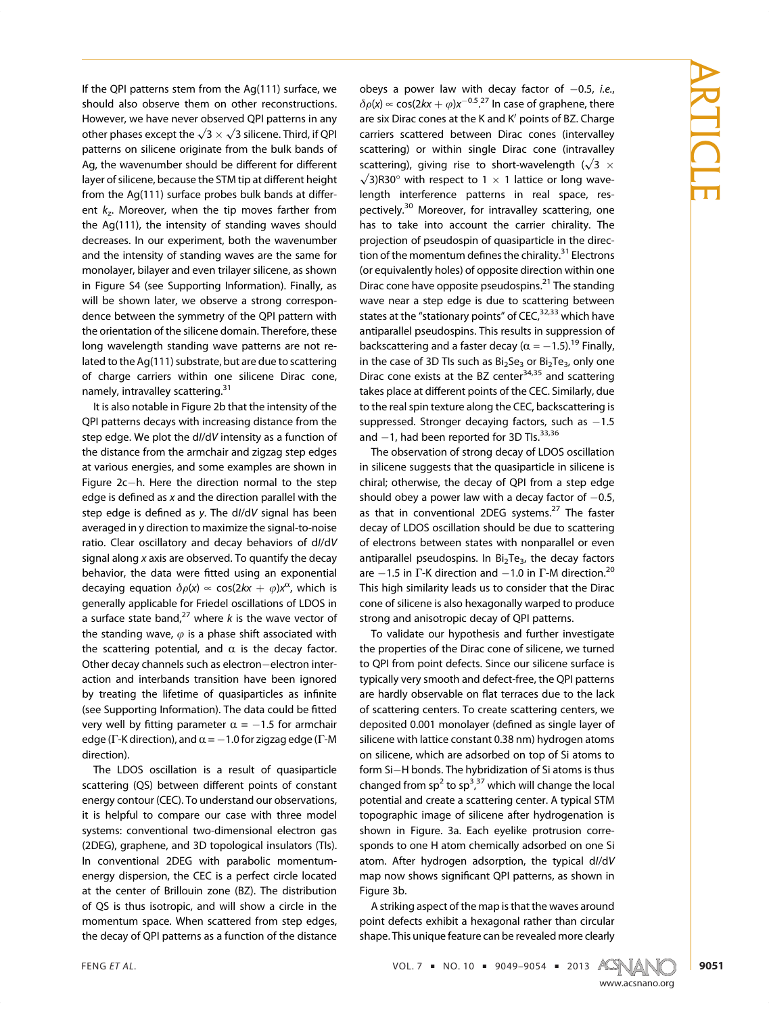If the QPI patterns stem from the Ag(111) surface, we should also observe them on other reconstructions. However, we have never observed QPI patterns in any other phases except the  $\sqrt{3} \times \sqrt{3}$  silicene. Third, if QPI patterns on silicene originate from the bulk bands of Ag, the wavenumber should be different for different layer of silicene, because the STM tip at different height from the Ag(111) surface probes bulk bands at different  $k_z$ . Moreover, when the tip moves farther from the Ag(111), the intensity of standing waves should decreases. In our experiment, both the wavenumber and the intensity of standing waves are the same for monolayer, bilayer and even trilayer silicene, as shown in Figure S4 (see Supporting Information). Finally, as will be shown later, we observe a strong correspondence between the symmetry of the QPI pattern with the orientation of the silicene domain. Therefore, these long wavelength standing wave patterns are not related to the Ag(111) substrate, but are due to scattering of charge carriers within one silicene Dirac cone, namely, intravalley scattering.<sup>31</sup>

It is also notable in Figure 2b that the intensity of the QPI patterns decays with increasing distance from the step edge. We plot the d//dV intensity as a function of the distance from the armchair and zigzag step edges at various energies, and some examples are shown in Figure  $2c-h$ . Here the direction normal to the step edge is defined as x and the direction parallel with the step edge is defined as y. The dI/dV signal has been averaged in y direction to maximize the signal-to-noise ratio. Clear oscillatory and decay behaviors of dI/dV signal along x axis are observed. To quantify the decay behavior, the data were fitted using an exponential decaying equation  $\delta \rho(x) \propto \cos(2kx + \varphi)x^{\alpha}$ , which is generally applicable for Friedel oscillations of LDOS in a surface state band,<sup>27</sup> where k is the wave vector of the standing wave,  $\varphi$  is a phase shift associated with the scattering potential, and  $\alpha$  is the decay factor. Other decay channels such as electron-electron interaction and interbands transition have been ignored by treating the lifetime of quasiparticles as infinite (see Supporting Information). The data could be fitted very well by fitting parameter  $\alpha = -1.5$  for armchair edge (Γ-K direction), and  $\alpha = -1.0$  for zigzag edge (Γ-M direction).

The LDOS oscillation is a result of quasiparticle scattering (QS) between different points of constant energy contour (CEC). To understand our observations, it is helpful to compare our case with three model systems: conventional two-dimensional electron gas (2DEG), graphene, and 3D topological insulators (TIs). In conventional 2DEG with parabolic momentumenergy dispersion, the CEC is a perfect circle located at the center of Brillouin zone (BZ). The distribution of QS is thus isotropic, and will show a circle in the momentum space. When scattered from step edges, the decay of QPI patterns as a function of the distance

obeys a power law with decay factor of  $-0.5$ , i.e.,  $\delta \rho(x) \propto \cos(2kx + \varphi)x^{-0.5}$ .<sup>27</sup> In case of graphene, there are six Dirac cones at the K and K' points of BZ. Charge carriers scattered between Dirac cones (intervalley scattering) or within single Dirac cone (intravalley scattering), giving rise to short-wavelength ( $\sqrt{3} \times \sqrt{3}$ )R30° with respect to 1  $\times$  1 lattice or long wavelength interference patterns in real space, respectively.<sup>30</sup> Moreover, for intravalley scattering, one has to take into account the carrier chirality. The projection of pseudospin of quasiparticle in the direction of the momentum defines the chirality.<sup>31</sup> Electrons (or equivalently holes) of opposite direction within one Dirac cone have opposite pseudospins.<sup>21</sup> The standing wave near a step edge is due to scattering between states at the "stationary points" of CEC,<sup>32,33</sup> which have antiparallel pseudospins. This results in suppression of backscattering and a faster decay ( $\alpha = -1.5$ ).<sup>19</sup> Finally, in the case of 3D TIs such as  $Bi<sub>2</sub>Se<sub>3</sub>$  or  $Bi<sub>2</sub>Te<sub>3</sub>$ , only one Dirac cone exists at the BZ center $34,35$  and scattering takes place at different points of the CEC. Similarly, due to the real spin texture along the CEC, backscattering is suppressed. Stronger decaying factors, such as  $-1.5$ and  $-1$ , had been reported for 3D TIs.<sup>33,36</sup>

The observation of strong decay of LDOS oscillation in silicene suggests that the quasiparticle in silicene is chiral; otherwise, the decay of QPI from a step edge should obey a power law with a decay factor of  $-0.5$ , as that in conventional 2DEG systems.<sup>27</sup> The faster decay of LDOS oscillation should be due to scattering of electrons between states with nonparallel or even antiparallel pseudospins. In  $Bi<sub>2</sub>Te<sub>3</sub>$ , the decay factors are  $-1.5$  in Γ-K direction and  $-1.0$  in Γ-M direction.<sup>20</sup> This high similarity leads us to consider that the Dirac cone of silicene is also hexagonally warped to produce strong and anisotropic decay of QPI patterns.

To validate our hypothesis and further investigate the properties of the Dirac cone of silicene, we turned to QPI from point defects. Since our silicene surface is typically very smooth and defect-free, the QPI patterns are hardly observable on flat terraces due to the lack of scattering centers. To create scattering centers, we deposited 0.001 monolayer (defined as single layer of silicene with lattice constant 0.38 nm) hydrogen atoms on silicene, which are adsorbed on top of Si atoms to form Si-H bonds. The hybridization of Si atoms is thus changed from sp<sup>2</sup> to sp<sup>3,37</sup> which will change the local , potential and create a scattering center. A typical STM topographic image of silicene after hydrogenation is shown in Figure. 3a. Each eyelike protrusion corresponds to one H atom chemically adsorbed on one Si atom. After hydrogen adsorption, the typical dI/dV map now shows significant QPI patterns, as shown in Figure 3b.

A striking aspect of the map is that the waves around point defects exhibit a hexagonal rather than circular shape. This unique feature can be revealed more clearly

FENG ET AL.  $\text{VOL. 7} \cdot \text{NO. 10} \cdot \text{9049-9054} \cdot \text{2013} \cdot \text{AGN}$ 



ARTICLE

www.accom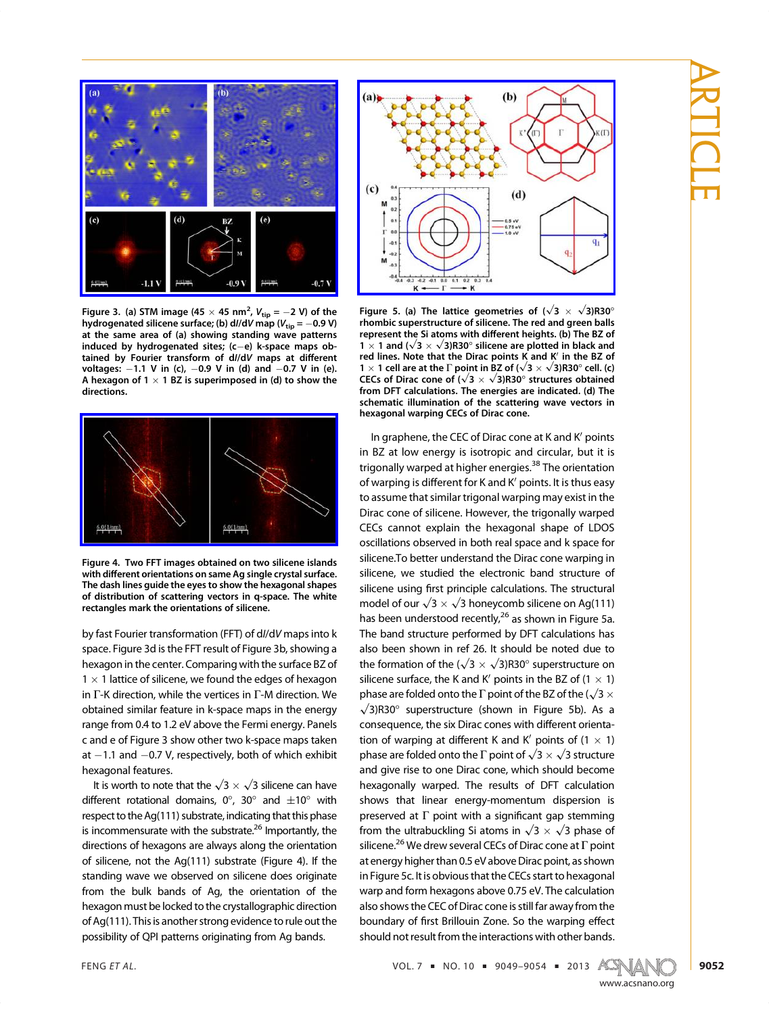



Figure 3. (a) STM image (45  $\times$  45 nm<sup>2</sup>,  $V_{\text{tip}} = -2$  V) of the hydrogenated silicene surface; (b) dl/dV map ( $V_{tip}$  = -0.9 V) at the same area of (a) showing standing wave patterns induced by hydrogenated sites;  $(c-e)$  k-space maps obtained by Fourier transform of dI/dV maps at different voltages:  $-1.1$  V in (c),  $-0.9$  V in (d) and  $-0.7$  V in (e). A hexagon of 1  $\times$  1 BZ is superimposed in (d) to show the directions.



Figure 4. Two FFT images obtained on two silicene islands with different orientations on same Ag single crystal surface. The dash lines guide the eyes to show the hexagonal shapes of distribution of scattering vectors in q-space. The white rectangles mark the orientations of silicene.

by fast Fourier transformation (FFT) of dI/dV maps into k space. Figure 3d is the FFT result of Figure 3b, showing a hexagon in the center. Comparing with the surface BZ of  $1 \times 1$  lattice of silicene, we found the edges of hexagon in Γ-K direction, while the vertices in Γ-M direction. We obtained similar feature in k-space maps in the energy range from 0.4 to 1.2 eV above the Fermi energy. Panels c and e of Figure 3 show other two k-space maps taken at  $-1.1$  and  $-0.7$  V, respectively, both of which exhibit hexagonal features.

It is worth to note that the  $\sqrt{3} \times \sqrt{3}$  silicene can have different rotational domains,  $0^{\circ}$ , 30° and  $\pm 10^{\circ}$  with respect to the Ag(111) substrate, indicating that this phase is incommensurate with the substrate.<sup>26</sup> Importantly, the directions of hexagons are always along the orientation of silicene, not the Ag(111) substrate (Figure 4). If the standing wave we observed on silicene does originate from the bulk bands of Ag, the orientation of the hexagon must be locked to the crystallographic direction of Ag(111). This is another strong evidence to rule out the possibility of QPI patterns originating from Ag bands.



Figure 5. (a) The lattice geometries of  $(\sqrt{3} \times \sqrt{3})$ R30° rhombic superstructure of silicene. The red and green balls represent the Si atoms with different heights. (b) The BZ of 1  $\times$  1 and ( $\sqrt{3} \times \sqrt{3}$ )R30 $^{\circ}$  silicene are plotted in black and red lines. Note that the Dirac points K and  $K'$  in the BZ of 1 × 1 cell are at the Γ point in BZ of  $(\sqrt{3} \times \sqrt{3})$ R30° cell. (c) CECs of Dirac cone of  $(\sqrt{3} \times \sqrt{3})$ R30° structures obtained from DFT calculations. The energies are indicated. (d) The schematic illumination of the scattering wave vectors in hexagonal warping CECs of Dirac cone.

In graphene, the CEC of Dirac cone at K and K' points in BZ at low energy is isotropic and circular, but it is trigonally warped at higher energies.<sup>38</sup> The orientation of warping is different for K and K' points. It is thus easy to assume that similar trigonal warping may exist in the Dirac cone of silicene. However, the trigonally warped CECs cannot explain the hexagonal shape of LDOS oscillations observed in both real space and k space for silicene.To better understand the Dirac cone warping in silicene, we studied the electronic band structure of silicene using first principle calculations. The structural model of our  $\sqrt{3} \times \sqrt{3}$  honeycomb silicene on Ag(111) has been understood recently,  $26$  as shown in Figure 5a. The band structure performed by DFT calculations has also been shown in ref 26. It should be noted due to the formation of the ( $\sqrt{3} \times \sqrt{3}$ )R30° superstructure on silicene surface, the K and K' points in the BZ of  $(1 \times 1)$ phase are folded onto the Γ point of the BZ of the ( $\sqrt{3} \times \sqrt{3}$ )R30° superstructure (shown in Figure 5b). As a consequence, the six Dirac cones with different orientation of warping at different K and K' points of  $(1 \times 1)$ phase are folded onto the Γ point of  $\sqrt{3} \times \sqrt{3}$  structure and give rise to one Dirac cone, which should become hexagonally warped. The results of DFT calculation shows that linear energy-momentum dispersion is preserved at  $\Gamma$  point with a significant gap stemming from the ultrabuckling Si atoms in  $\sqrt{3} \times \sqrt{3}$  phase of silicene.<sup>26</sup> We drew several CECs of Dirac cone at  $\Gamma$  point at energy higher than 0.5 eV above Dirac point, as shown in Figure 5c. It is obvious that the CECs start to hexagonal warp and form hexagons above 0.75 eV. The calculation also shows the CEC of Dirac cone is still far away from the boundary of first Brillouin Zone. So the warping effect should not result from the interactions with other bands.

FENG ET AL.  $\text{VOL.7} \cdot \text{NO.10} = 9049 - 9054 = 2013 \quad \text{A} \quad \text{N}$ 

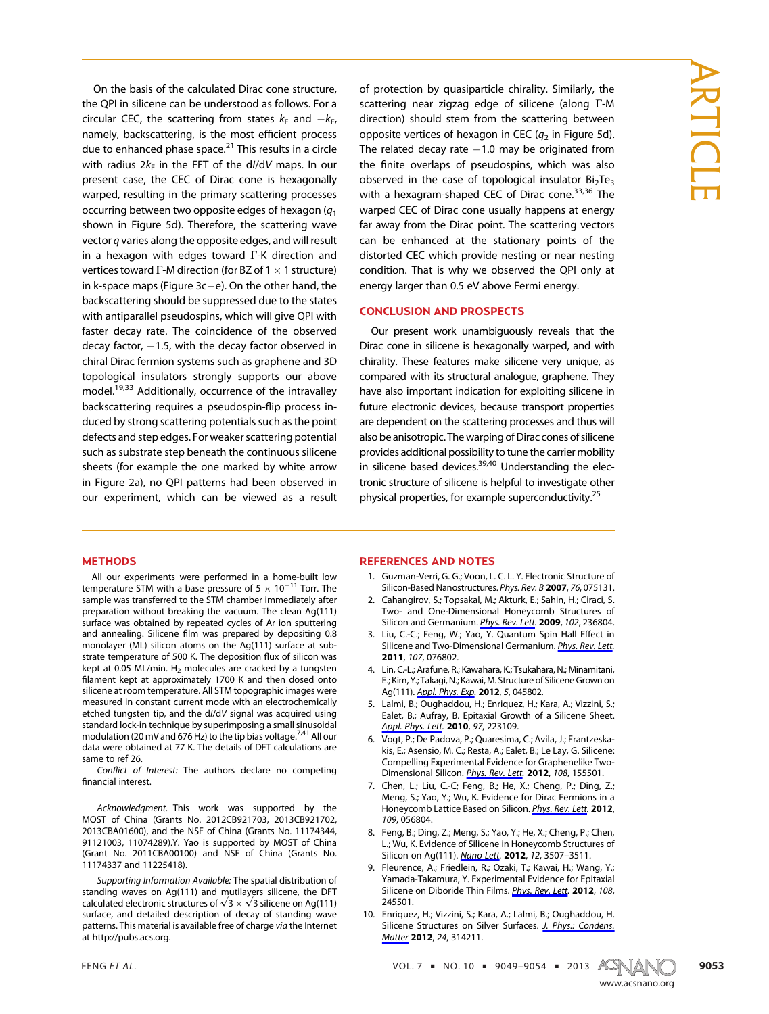On the basis of the calculated Dirac cone structure, the QPI in silicene can be understood as follows. For a circular CEC, the scattering from states  $k_F$  and  $-k_F$ , namely, backscattering, is the most efficient process due to enhanced phase space.<sup>21</sup> This results in a circle with radius  $2k_F$  in the FFT of the d//dV maps. In our present case, the CEC of Dirac cone is hexagonally warped, resulting in the primary scattering processes occurring between two opposite edges of hexagon  $(q_1)$ shown in Figure 5d). Therefore, the scattering wave vector q varies along the opposite edges, and will result in a hexagon with edges toward Γ-K direction and vertices toward Γ-M direction (for BZ of 1  $\times$  1 structure) in k-space maps (Figure  $3c$  –e). On the other hand, the backscattering should be suppressed due to the states with antiparallel pseudospins, which will give QPI with faster decay rate. The coincidence of the observed decay factor,  $-1.5$ , with the decay factor observed in chiral Dirac fermion systems such as graphene and 3D topological insulators strongly supports our above model.<sup>19,33</sup> Additionally, occurrence of the intravalley backscattering requires a pseudospin-flip process induced by strong scattering potentials such as the point defects and step edges. For weaker scattering potential such as substrate step beneath the continuous silicene sheets (for example the one marked by white arrow in Figure 2a), no QPI patterns had been observed in our experiment, which can be viewed as a result of protection by quasiparticle chirality. Similarly, the scattering near zigzag edge of silicene (along Γ-M direction) should stem from the scattering between opposite vertices of hexagon in CEC  $(q_2$  in Figure 5d). The related decay rate  $-1.0$  may be originated from the finite overlaps of pseudospins, which was also observed in the case of topological insulator  $Bi<sub>2</sub>Te<sub>3</sub>$ with a hexagram-shaped CEC of Dirac cone.<sup>33,36</sup> The warped CEC of Dirac cone usually happens at energy far away from the Dirac point. The scattering vectors can be enhanced at the stationary points of the distorted CEC which provide nesting or near nesting condition. That is why we observed the QPI only at energy larger than 0.5 eV above Fermi energy.

#### CONCLUSION AND PROSPECTS

Our present work unambiguously reveals that the Dirac cone in silicene is hexagonally warped, and with chirality. These features make silicene very unique, as compared with its structural analogue, graphene. They have also important indication for exploiting silicene in future electronic devices, because transport properties are dependent on the scattering processes and thus will also be anisotropic. The warping of Dirac cones of silicene provides additional possibility to tune the carrier mobility in silicene based devices. $39,40$  Understanding the electronic structure of silicene is helpful to investigate other physical properties, for example superconductivity.<sup>25</sup>

#### METHODS

All our experiments were performed in a home-built low temperature STM with a base pressure of  $5 \times 10^{-11}$  Torr. The sample was transferred to the STM chamber immediately after preparation without breaking the vacuum. The clean Ag(111) surface was obtained by repeated cycles of Ar ion sputtering and annealing. Silicene film was prepared by depositing 0.8 monolayer (ML) silicon atoms on the Ag(111) surface at substrate temperature of 500 K. The deposition flux of silicon was kept at 0.05 ML/min.  $H_2$  molecules are cracked by a tungsten filament kept at approximately 1700 K and then dosed onto silicene at room temperature. All STM topographic images were measured in constant current mode with an electrochemically etched tungsten tip, and the dI/dV signal was acquired using standard lock-in technique by superimposing a small sinusoidal modulation (20 mV and 676 Hz) to the tip bias voltage.<sup>7,41</sup> All our data were obtained at 77 K. The details of DFT calculations are same to ref 26.

Conflict of Interest: The authors declare no competing financial interest.

Acknowledgment. This work was supported by the MOST of China (Grants No. 2012CB921703, 2013CB921702, 2013CBA01600), and the NSF of China (Grants No. 11174344, 91121003, 11074289).Y. Yao is supported by MOST of China (Grant No. 2011CBA00100) and NSF of China (Grants No. 11174337 and 11225418).

Supporting Information Available: The spatial distribution of standing waves on Ag(111) and mutilayers silicene, the DFT calculated electronic structures of  $\sqrt{3} \times \sqrt{3}$  silicene on Ag(111) surface, and detailed description of decay of standing wave patterns. This material is available free of charge via the Internet at http://pubs.acs.org.

#### REFERENCES AND NOTES

- 1. Guzman-Verri, G. G.; Voon, L. C. L. Y. Electronic Structure of Silicon-Based Nanostructures. Phys. Rev. B 2007, 76, 075131.
- 2. Cahangirov, S.; Topsakal, M.; Akturk, E.; Sahin, H.; Ciraci, S. Two- and One-Dimensional Honeycomb Structures of Silicon and Germanium. *Phys. Rev. Lett.* 2009, 102, 236804.
- 3. Liu, C.-C.; Feng, W.; Yao, Y. Quantum Spin Hall Effect in Silicene and Two-Dimensional Germanium. Phys. Rev. Lett. 2011, 107, 076802.
- 4. Lin, C.-L.; Arafune, R.; Kawahara, K.; Tsukahara, N.; Minamitani, E.; Kim, Y.; Takagi, N.; Kawai, M. Structure of Silicene Grown on Ag(111). Appl. Phys. Exp. 2012, 5, 045802.
- 5. Lalmi, B.; Oughaddou, H.; Enriquez, H.; Kara, A.; Vizzini, S.; Ealet, B.; Aufray, B. Epitaxial Growth of a Silicene Sheet. Appl. Phys. Lett. 2010, 97, 223109.
- 6. Vogt, P.; De Padova, P.; Quaresima, C.; Avila, J.; Frantzeskakis, E.; Asensio, M. C.; Resta, A.; Ealet, B.; Le Lay, G. Silicene: Compelling Experimental Evidence for Graphenelike Two-Dimensional Silicon. Phys. Rev. Lett. 2012, 108, 155501.
- 7. Chen, L.; Liu, C.-C; Feng, B.; He, X.; Cheng, P.; Ding, Z.; Meng, S.; Yao, Y.; Wu, K. Evidence for Dirac Fermions in a Honeycomb Lattice Based on Silicon. Phys. Rev. Lett. 2012, 109, 056804.
- 8. Feng, B.; Ding, Z.; Meng, S.; Yao, Y.; He, X.; Cheng, P.; Chen, L.; Wu, K. Evidence of Silicene in Honeycomb Structures of Silicon on Ag(111). Nano Lett. 2012, 12, 3507-3511.
- 9. Fleurence, A.; Friedlein, R.; Ozaki, T.; Kawai, H.; Wang, Y.; Yamada-Takamura, Y. Experimental Evidence for Epitaxial Silicene on Diboride Thin Films. Phys. Rev. Lett. 2012, 108, 245501.
- 10. Enriquez, H.; Vizzini, S.; Kara, A.; Lalmi, B.; Oughaddou, H. Silicene Structures on Silver Surfaces. J. Phys.: Condens. Matter 2012, 24, 314211.

www.accom